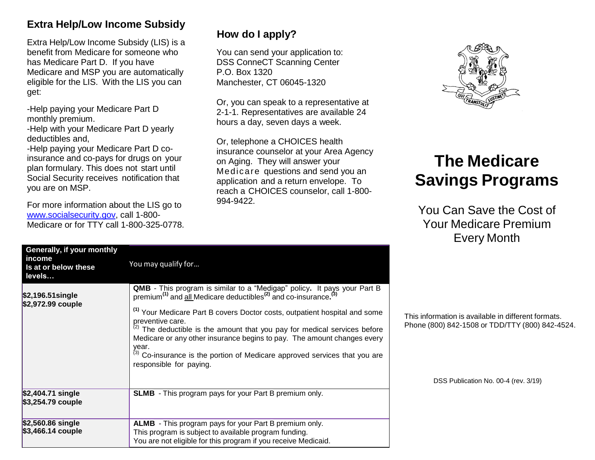# **Extra Help/Low Income Subsidy**

Extra Help/Low Income Subsidy (LIS) is a benefit from Medicare for someone who has Medicare Part D. If you have Medicare and MSP you are automatically eligible for the LIS. With the LIS you can get:

-Help paying your Medicare Part D monthly premium.

-Help with your Medicare Part D yearly deductibles and,

-Help paying your Medicare Part D coinsurance and co-pays for drugs on your plan formulary. This does not start until Social Security receives notification that you are on MSP.

For more information about the LIS go to [www.socialsecurity.gov,](http://www.socialsecurity.gov/) call 1-800- Medicare or for TTY call 1-800-325-0778.

# **How do I apply?**

You can send your application to: DSS ConneCT Scanning Center P.O. Box 1320 Manchester, CT 06045-1320

Or, you can speak to a representative at 2-1-1. Representatives are available 24 hours a day, seven days a week.

Or, telephone a CHOICES health insurance counselor at your Area Agency on Aging. They will answer your Medicare questions and send you an application and a return envelope. To reach a CHOICES counselor, call 1-800- 994-9422.



# **The Medicare Savings Programs**

You Can Save the Cost of Your Medicare Premium Every Month

| Generally, if your monthly<br>income<br>Is at or below these<br>levels | You may qualify for                                                                                                                                                                                                                                                                                                                                                                                                                                                                                                                                                       |
|------------------------------------------------------------------------|---------------------------------------------------------------------------------------------------------------------------------------------------------------------------------------------------------------------------------------------------------------------------------------------------------------------------------------------------------------------------------------------------------------------------------------------------------------------------------------------------------------------------------------------------------------------------|
| $$2,196.51$ single<br>\$2,972.99 couple                                | <b>QMB</b> - This program is similar to a "Medigap" policy. It pays your Part B<br>premium <sup>(1)</sup> and all Medicare deductibles <sup>(2)</sup> and co-insurance. <sup>(3)</sup><br><sup>(1)</sup> Your Medicare Part B covers Doctor costs, outpatient hospital and some<br>preventive care.<br>The deductible is the amount that you pay for medical services before<br>Medicare or any other insurance begins to pay. The amount changes every<br>year.<br>(3) Co-insurance is the portion of Medicare approved services that you are<br>responsible for paying. |
| \$2,404.71 single<br>\$3,254.79 couple                                 | <b>SLMB</b> - This program pays for your Part B premium only.                                                                                                                                                                                                                                                                                                                                                                                                                                                                                                             |
| \$2,560.86 single<br>$$3,466.14$ couple                                | <b>ALMB</b> - This program pays for your Part B premium only.<br>This program is subject to available program funding.<br>You are not eligible for this program if you receive Medicaid.                                                                                                                                                                                                                                                                                                                                                                                  |

This information is available in different formats. Phone (800) 842-1508 or TDD/TTY (800) 842-4524.

DSS Publication No. 00-4 (rev. 3/19)